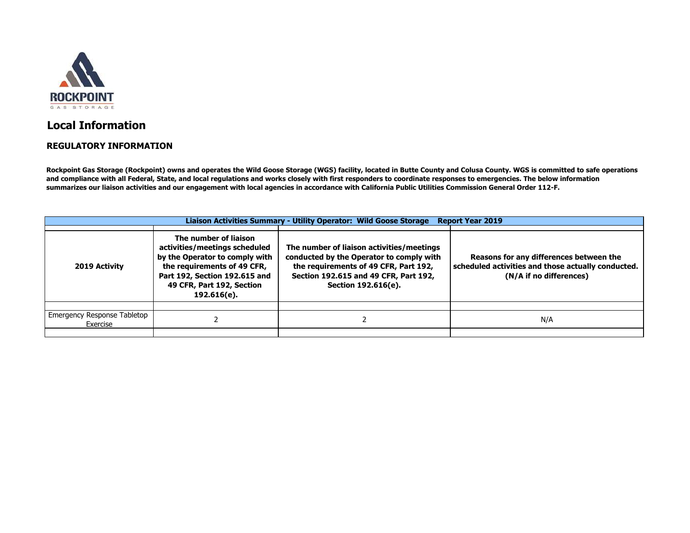

## **Local Information**

## **REGULATORY INFORMATION**

**Rockpoint Gas Storage (Rockpoint) owns and operates the Wild Goose Storage (WGS) facility, located in Butte County and Colusa County. WGS is committed to safe operations and compliance with all Federal, State, and local regulations and works closely with first responders to coordinate responses to emergencies. The below information summarizes our liaison activities and our engagement with local agencies in accordance with California Public Utilities Commission General Order 112‐F.**

| Liaison Activities Summary - Utility Operator: Wild Goose Storage<br><b>Report Year 2019</b> |                                                                                                                                                                                                      |                                                                                                                                                                                                |                                                                                                                          |  |  |  |  |
|----------------------------------------------------------------------------------------------|------------------------------------------------------------------------------------------------------------------------------------------------------------------------------------------------------|------------------------------------------------------------------------------------------------------------------------------------------------------------------------------------------------|--------------------------------------------------------------------------------------------------------------------------|--|--|--|--|
| 2019 Activity                                                                                | The number of liaison<br>activities/meetings scheduled<br>by the Operator to comply with<br>the requirements of 49 CFR,<br>Part 192, Section 192.615 and<br>49 CFR, Part 192, Section<br>192.616(e). | The number of liaison activities/meetings<br>conducted by the Operator to comply with<br>the requirements of 49 CFR, Part 192,<br>Section 192.615 and 49 CFR, Part 192,<br>Section 192.616(e). | Reasons for any differences between the<br>scheduled activities and those actually conducted.<br>(N/A if no differences) |  |  |  |  |
|                                                                                              |                                                                                                                                                                                                      |                                                                                                                                                                                                |                                                                                                                          |  |  |  |  |
| <b>Emergency Response Tabletop</b><br>Exercise                                               |                                                                                                                                                                                                      |                                                                                                                                                                                                | N/A                                                                                                                      |  |  |  |  |
|                                                                                              |                                                                                                                                                                                                      |                                                                                                                                                                                                |                                                                                                                          |  |  |  |  |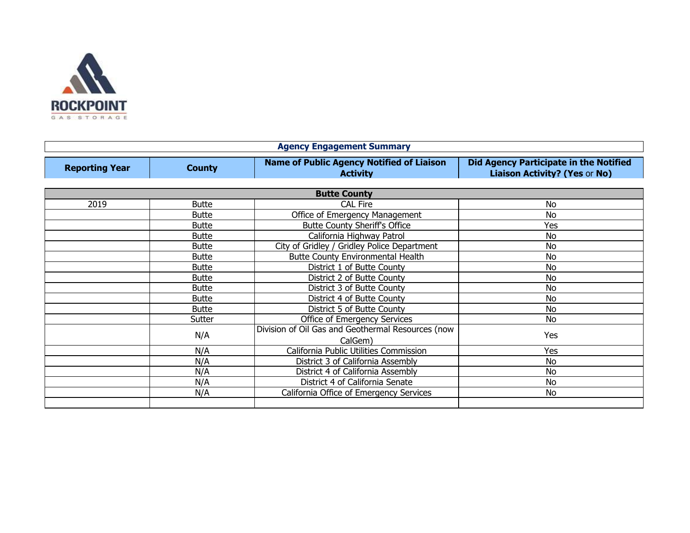

| <b>Agency Engagement Summary</b> |               |                                                                     |                                                                                       |  |  |
|----------------------------------|---------------|---------------------------------------------------------------------|---------------------------------------------------------------------------------------|--|--|
| <b>Reporting Year</b>            | <b>County</b> | <b>Name of Public Agency Notified of Liaison</b><br><b>Activity</b> | <b>Did Agency Participate in the Notified</b><br><b>Liaison Activity? (Yes or No)</b> |  |  |
| <b>Butte County</b>              |               |                                                                     |                                                                                       |  |  |
| 2019                             | <b>Butte</b>  | <b>CAL Fire</b>                                                     | No                                                                                    |  |  |
|                                  | <b>Butte</b>  | Office of Emergency Management                                      | No                                                                                    |  |  |
|                                  | <b>Butte</b>  | <b>Butte County Sheriff's Office</b>                                | Yes                                                                                   |  |  |
|                                  | <b>Butte</b>  | California Highway Patrol                                           | No                                                                                    |  |  |
|                                  | <b>Butte</b>  | City of Gridley / Gridley Police Department                         | No                                                                                    |  |  |
|                                  | <b>Butte</b>  | <b>Butte County Environmental Health</b>                            | <b>No</b>                                                                             |  |  |
|                                  | <b>Butte</b>  | District 1 of Butte County                                          | <b>No</b>                                                                             |  |  |
|                                  | <b>Butte</b>  | District 2 of Butte County                                          | No                                                                                    |  |  |
|                                  | <b>Butte</b>  | District 3 of Butte County                                          | <b>No</b>                                                                             |  |  |
|                                  | <b>Butte</b>  | District 4 of Butte County                                          | No                                                                                    |  |  |
|                                  | <b>Butte</b>  | District 5 of Butte County                                          | <b>No</b>                                                                             |  |  |
|                                  | Sutter        | Office of Emergency Services                                        | <b>No</b>                                                                             |  |  |
|                                  | N/A           | Division of Oil Gas and Geothermal Resources (now<br>CalGem)        | Yes                                                                                   |  |  |
|                                  | N/A           | California Public Utilities Commission                              | Yes                                                                                   |  |  |
|                                  | N/A           | District 3 of California Assembly                                   | <b>No</b>                                                                             |  |  |
|                                  | N/A           | District 4 of California Assembly                                   | No                                                                                    |  |  |
|                                  | N/A           | District 4 of California Senate                                     | <b>No</b>                                                                             |  |  |
|                                  | N/A           | California Office of Emergency Services                             | No                                                                                    |  |  |
|                                  |               |                                                                     |                                                                                       |  |  |